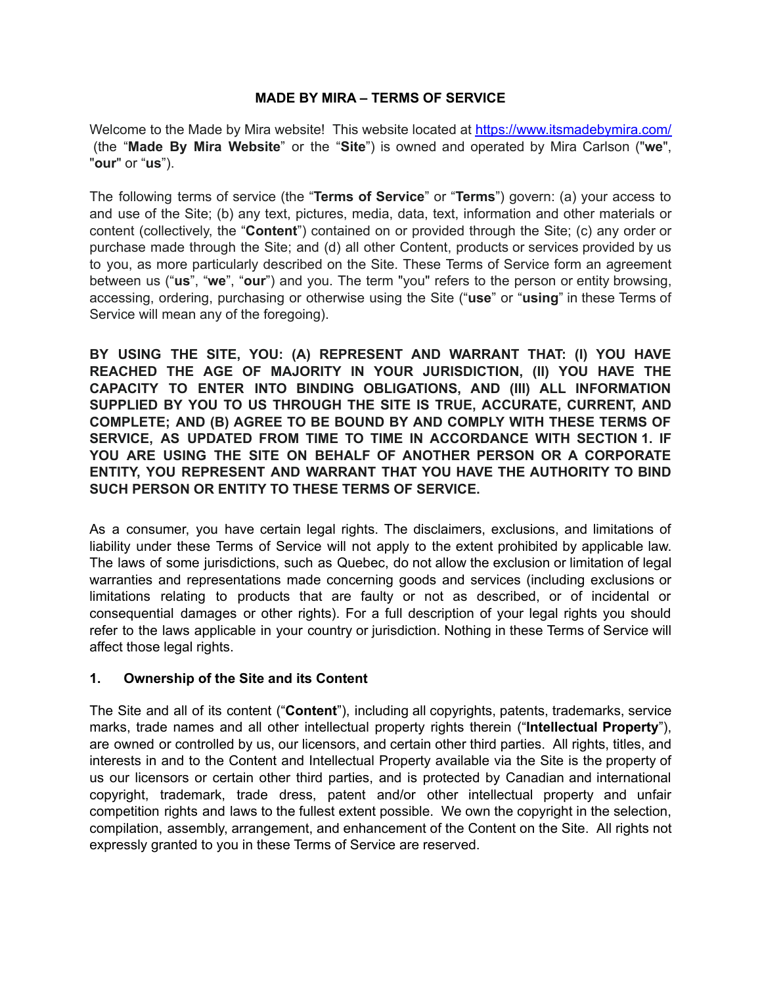# **MADE BY MIRA – TERMS OF SERVICE**

Welcome to the Made by Mira website! This website located at <https://www.itsmadebymira.com/> (the "**Made By Mira Website**" or the "**Site**") is owned and operated by Mira Carlson ("**we**", "**our**" or "**us**").

The following terms of service (the "**Terms of Service**" or "**Terms**") govern: (a) your access to and use of the Site; (b) any text, pictures, media, data, text, information and other materials or content (collectively, the "**Content**") contained on or provided through the Site; (c) any order or purchase made through the Site; and (d) all other Content, products or services provided by us to you, as more particularly described on the Site. These Terms of Service form an agreement between us ("**us**", "**we**", "**our**") and you. The term "you" refers to the person or entity browsing, accessing, ordering, purchasing or otherwise using the Site ("**use**" or "**using**" in these Terms of Service will mean any of the foregoing).

**BY USING THE SITE, YOU: (A) REPRESENT AND WARRANT THAT: (I) YOU HAVE REACHED THE AGE OF MAJORITY IN YOUR JURISDICTION, (II) YOU HAVE THE CAPACITY TO ENTER INTO BINDING OBLIGATIONS, AND (III) ALL INFORMATION SUPPLIED BY YOU TO US THROUGH THE SITE IS TRUE, ACCURATE, CURRENT, AND COMPLETE; AND (B) AGREE TO BE BOUND BY AND COMPLY WITH THESE TERMS OF SERVICE, AS UPDATED FROM TIME TO TIME IN ACCORDANCE WITH SECTION 1. IF YOU ARE USING THE SITE ON BEHALF OF ANOTHER PERSON OR A CORPORATE ENTITY, YOU REPRESENT AND WARRANT THAT YOU HAVE THE AUTHORITY TO BIND SUCH PERSON OR ENTITY TO THESE TERMS OF SERVICE.**

As a consumer, you have certain legal rights. The disclaimers, exclusions, and limitations of liability under these Terms of Service will not apply to the extent prohibited by applicable law. The laws of some jurisdictions, such as Quebec, do not allow the exclusion or limitation of legal warranties and representations made concerning goods and services (including exclusions or limitations relating to products that are faulty or not as described, or of incidental or consequential damages or other rights). For a full description of your legal rights you should refer to the laws applicable in your country or jurisdiction. Nothing in these Terms of Service will affect those legal rights.

# **1. Ownership of the Site and its Content**

The Site and all of its content ("**Content**"), including all copyrights, patents, trademarks, service marks, trade names and all other intellectual property rights therein ("**Intellectual Property**"), are owned or controlled by us, our licensors, and certain other third parties. All rights, titles, and interests in and to the Content and Intellectual Property available via the Site is the property of us our licensors or certain other third parties, and is protected by Canadian and international copyright, trademark, trade dress, patent and/or other intellectual property and unfair competition rights and laws to the fullest extent possible. We own the copyright in the selection, compilation, assembly, arrangement, and enhancement of the Content on the Site. All rights not expressly granted to you in these Terms of Service are reserved.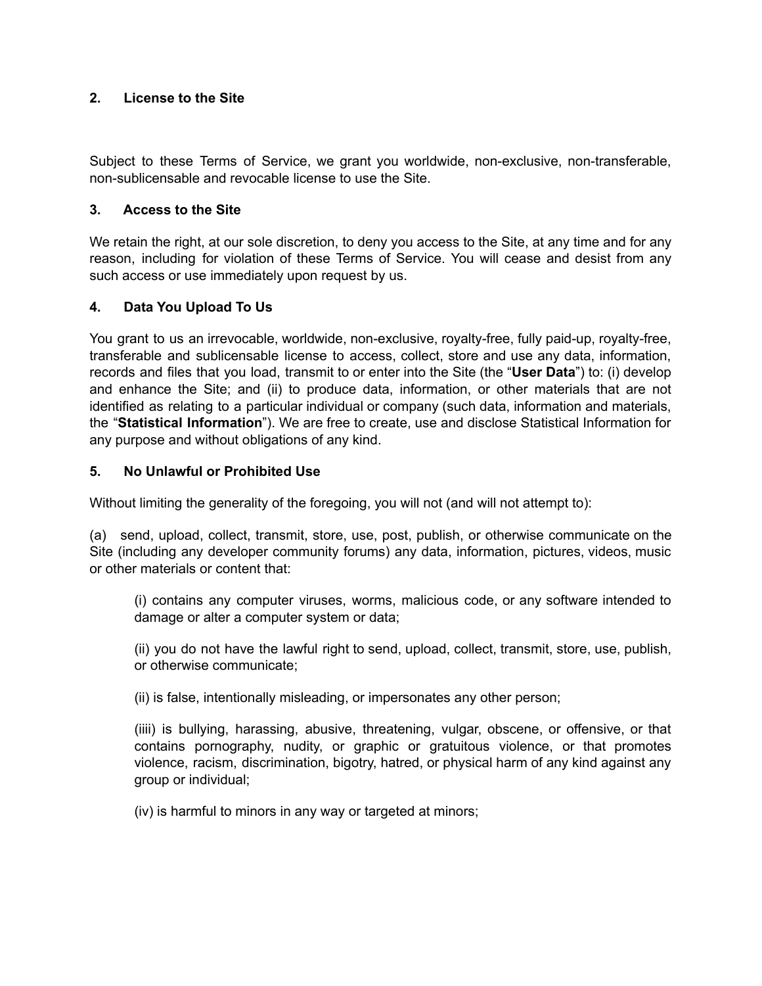# **2. License to the Site**

Subject to these Terms of Service, we grant you worldwide, non-exclusive, non-transferable, non-sublicensable and revocable license to use the Site.

### **3. Access to the Site**

We retain the right, at our sole discretion, to deny you access to the Site, at any time and for any reason, including for violation of these Terms of Service. You will cease and desist from any such access or use immediately upon request by us.

# **4. Data You Upload To Us**

You grant to us an irrevocable, worldwide, non-exclusive, royalty-free, fully paid-up, royalty-free, transferable and sublicensable license to access, collect, store and use any data, information, records and files that you load, transmit to or enter into the Site (the "**User Data**") to: (i) develop and enhance the Site; and (ii) to produce data, information, or other materials that are not identified as relating to a particular individual or company (such data, information and materials, the "**Statistical Information**"). We are free to create, use and disclose Statistical Information for any purpose and without obligations of any kind.

#### **5. No Unlawful or Prohibited Use**

Without limiting the generality of the foregoing, you will not (and will not attempt to):

(a) send, upload, collect, transmit, store, use, post, publish, or otherwise communicate on the Site (including any developer community forums) any data, information, pictures, videos, music or other materials or content that:

(i) contains any computer viruses, worms, malicious code, or any software intended to damage or alter a computer system or data;

(ii) you do not have the lawful right to send, upload, collect, transmit, store, use, publish, or otherwise communicate;

(ii) is false, intentionally misleading, or impersonates any other person;

(iiii) is bullying, harassing, abusive, threatening, vulgar, obscene, or offensive, or that contains pornography, nudity, or graphic or gratuitous violence, or that promotes violence, racism, discrimination, bigotry, hatred, or physical harm of any kind against any group or individual;

(iv) is harmful to minors in any way or targeted at minors;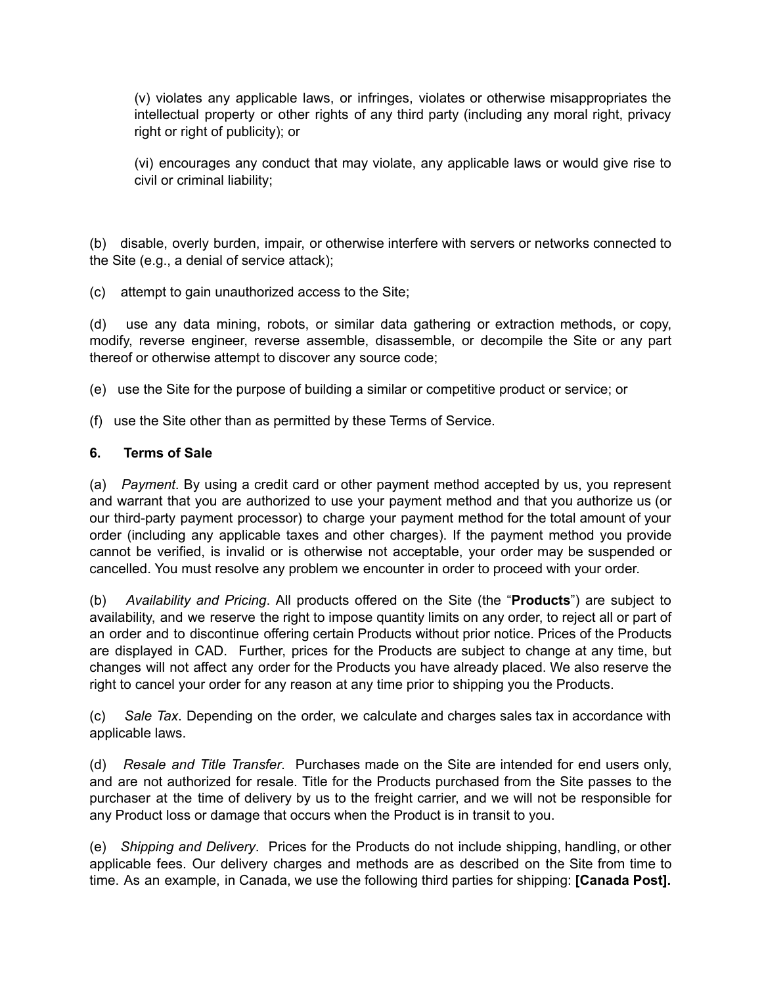(v) violates any applicable laws, or infringes, violates or otherwise misappropriates the intellectual property or other rights of any third party (including any moral right, privacy right or right of publicity); or

(vi) encourages any conduct that may violate, any applicable laws or would give rise to civil or criminal liability;

(b) disable, overly burden, impair, or otherwise interfere with servers or networks connected to the Site (e.g., a denial of service attack);

(c) attempt to gain unauthorized access to the Site;

(d) use any data mining, robots, or similar data gathering or extraction methods, or copy, modify, reverse engineer, reverse assemble, disassemble, or decompile the Site or any part thereof or otherwise attempt to discover any source code;

(e) use the Site for the purpose of building a similar or competitive product or service; or

(f) use the Site other than as permitted by these Terms of Service.

# **6. Terms of Sale**

(a) *Payment*. By using a credit card or other payment method accepted by us, you represent and warrant that you are authorized to use your payment method and that you authorize us (or our third-party payment processor) to charge your payment method for the total amount of your order (including any applicable taxes and other charges). If the payment method you provide cannot be verified, is invalid or is otherwise not acceptable, your order may be suspended or cancelled. You must resolve any problem we encounter in order to proceed with your order.

(b) *Availability and Pricing*. All products offered on the Site (the "**Products**") are subject to availability, and we reserve the right to impose quantity limits on any order, to reject all or part of an order and to discontinue offering certain Products without prior notice. Prices of the Products are displayed in CAD. Further, prices for the Products are subject to change at any time, but changes will not affect any order for the Products you have already placed. We also reserve the right to cancel your order for any reason at any time prior to shipping you the Products.

(c) *Sale Tax*. Depending on the order, we calculate and charges sales tax in accordance with applicable laws.

(d) *Resale and Title Transfer*. Purchases made on the Site are intended for end users only, and are not authorized for resale. Title for the Products purchased from the Site passes to the purchaser at the time of delivery by us to the freight carrier, and we will not be responsible for any Product loss or damage that occurs when the Product is in transit to you.

(e) *Shipping and Delivery*. Prices for the Products do not include shipping, handling, or other applicable fees. Our delivery charges and methods are as described on the Site from time to time. As an example, in Canada, we use the following third parties for shipping: **[Canada Post].**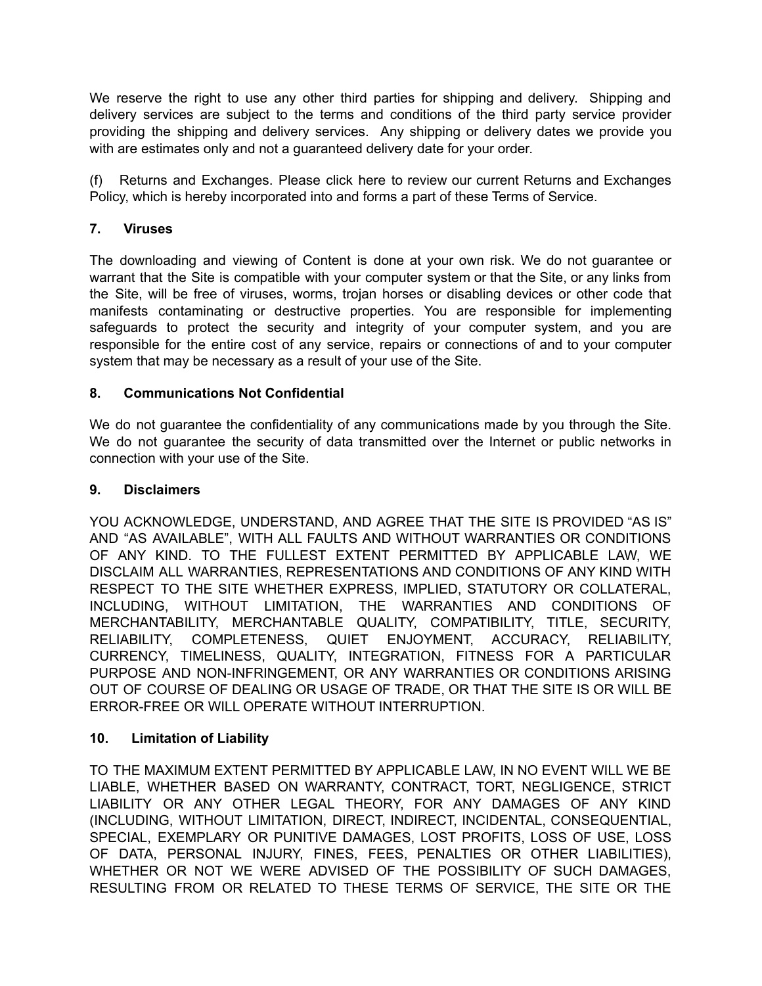We reserve the right to use any other third parties for shipping and delivery. Shipping and delivery services are subject to the terms and conditions of the third party service provider providing the shipping and delivery services. Any shipping or delivery dates we provide you with are estimates only and not a guaranteed delivery date for your order.

(f) Returns and Exchanges. Please click here to review our current Returns and Exchanges Policy, which is hereby incorporated into and forms a part of these Terms of Service.

# **7. Viruses**

The downloading and viewing of Content is done at your own risk. We do not guarantee or warrant that the Site is compatible with your computer system or that the Site, or any links from the Site, will be free of viruses, worms, trojan horses or disabling devices or other code that manifests contaminating or destructive properties. You are responsible for implementing safeguards to protect the security and integrity of your computer system, and you are responsible for the entire cost of any service, repairs or connections of and to your computer system that may be necessary as a result of your use of the Site.

# **8. Communications Not Confidential**

We do not guarantee the confidentiality of any communications made by you through the Site. We do not guarantee the security of data transmitted over the Internet or public networks in connection with your use of the Site.

# **9. Disclaimers**

YOU ACKNOWLEDGE, UNDERSTAND, AND AGREE THAT THE SITE IS PROVIDED "AS IS" AND "AS AVAILABLE", WITH ALL FAULTS AND WITHOUT WARRANTIES OR CONDITIONS OF ANY KIND. TO THE FULLEST EXTENT PERMITTED BY APPLICABLE LAW, WE DISCLAIM ALL WARRANTIES, REPRESENTATIONS AND CONDITIONS OF ANY KIND WITH RESPECT TO THE SITE WHETHER EXPRESS, IMPLIED, STATUTORY OR COLLATERAL, INCLUDING, WITHOUT LIMITATION, THE WARRANTIES AND CONDITIONS OF MERCHANTABILITY, MERCHANTABLE QUALITY, COMPATIBILITY, TITLE, SECURITY, RELIABILITY, COMPLETENESS, QUIET ENJOYMENT, ACCURACY, RELIABILITY, CURRENCY, TIMELINESS, QUALITY, INTEGRATION, FITNESS FOR A PARTICULAR PURPOSE AND NON-INFRINGEMENT, OR ANY WARRANTIES OR CONDITIONS ARISING OUT OF COURSE OF DEALING OR USAGE OF TRADE, OR THAT THE SITE IS OR WILL BE ERROR-FREE OR WILL OPERATE WITHOUT INTERRUPTION.

# **10. Limitation of Liability**

TO THE MAXIMUM EXTENT PERMITTED BY APPLICABLE LAW, IN NO EVENT WILL WE BE LIABLE, WHETHER BASED ON WARRANTY, CONTRACT, TORT, NEGLIGENCE, STRICT LIABILITY OR ANY OTHER LEGAL THEORY, FOR ANY DAMAGES OF ANY KIND (INCLUDING, WITHOUT LIMITATION, DIRECT, INDIRECT, INCIDENTAL, CONSEQUENTIAL, SPECIAL, EXEMPLARY OR PUNITIVE DAMAGES, LOST PROFITS, LOSS OF USE, LOSS OF DATA, PERSONAL INJURY, FINES, FEES, PENALTIES OR OTHER LIABILITIES), WHETHER OR NOT WE WERE ADVISED OF THE POSSIBILITY OF SUCH DAMAGES, RESULTING FROM OR RELATED TO THESE TERMS OF SERVICE, THE SITE OR THE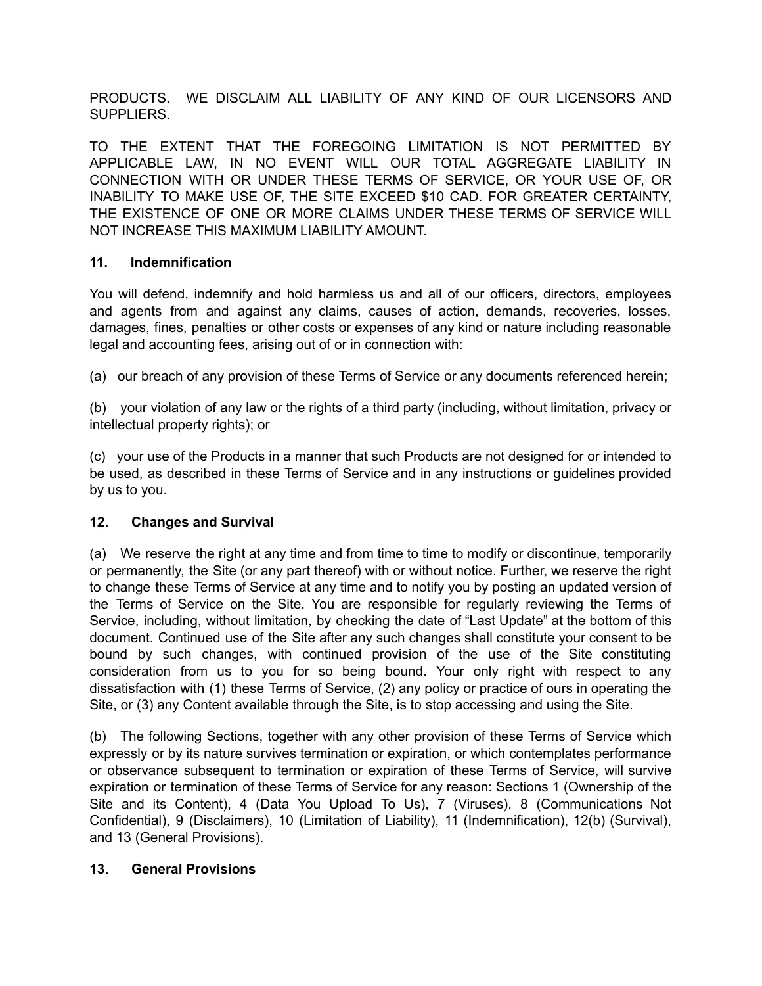PRODUCTS. WE DISCLAIM ALL LIABILITY OF ANY KIND OF OUR LICENSORS AND SUPPLIERS.

TO THE EXTENT THAT THE FOREGOING LIMITATION IS NOT PERMITTED BY APPLICABLE LAW, IN NO EVENT WILL OUR TOTAL AGGREGATE LIABILITY IN CONNECTION WITH OR UNDER THESE TERMS OF SERVICE, OR YOUR USE OF, OR INABILITY TO MAKE USE OF, THE SITE EXCEED \$10 CAD. FOR GREATER CERTAINTY, THE EXISTENCE OF ONE OR MORE CLAIMS UNDER THESE TERMS OF SERVICE WILL NOT INCREASE THIS MAXIMUM LIABILITY AMOUNT.

# **11. Indemnification**

You will defend, indemnify and hold harmless us and all of our officers, directors, employees and agents from and against any claims, causes of action, demands, recoveries, losses, damages, fines, penalties or other costs or expenses of any kind or nature including reasonable legal and accounting fees, arising out of or in connection with:

(a) our breach of any provision of these Terms of Service or any documents referenced herein;

(b) your violation of any law or the rights of a third party (including, without limitation, privacy or intellectual property rights); or

(c) your use of the Products in a manner that such Products are not designed for or intended to be used, as described in these Terms of Service and in any instructions or guidelines provided by us to you.

# **12. Changes and Survival**

(a) We reserve the right at any time and from time to time to modify or discontinue, temporarily or permanently, the Site (or any part thereof) with or without notice. Further, we reserve the right to change these Terms of Service at any time and to notify you by posting an updated version of the Terms of Service on the Site. You are responsible for regularly reviewing the Terms of Service, including, without limitation, by checking the date of "Last Update" at the bottom of this document. Continued use of the Site after any such changes shall constitute your consent to be bound by such changes, with continued provision of the use of the Site constituting consideration from us to you for so being bound. Your only right with respect to any dissatisfaction with (1) these Terms of Service, (2) any policy or practice of ours in operating the Site, or (3) any Content available through the Site, is to stop accessing and using the Site.

(b) The following Sections, together with any other provision of these Terms of Service which expressly or by its nature survives termination or expiration, or which contemplates performance or observance subsequent to termination or expiration of these Terms of Service, will survive expiration or termination of these Terms of Service for any reason: Sections 1 (Ownership of the Site and its Content), 4 (Data You Upload To Us), 7 (Viruses), 8 (Communications Not Confidential), 9 (Disclaimers), 10 (Limitation of Liability), 11 (Indemnification), 12(b) (Survival), and 13 (General Provisions).

# **13. General Provisions**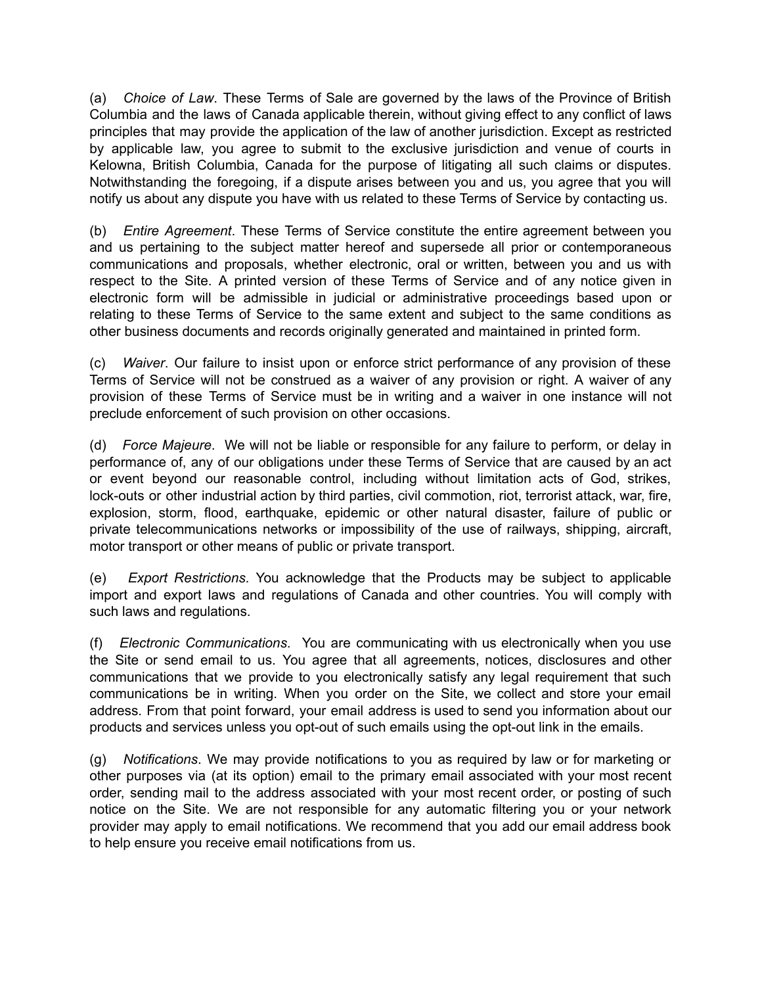(a) *Choice of Law*. These Terms of Sale are governed by the laws of the Province of British Columbia and the laws of Canada applicable therein, without giving effect to any conflict of laws principles that may provide the application of the law of another jurisdiction. Except as restricted by applicable law, you agree to submit to the exclusive jurisdiction and venue of courts in Kelowna, British Columbia, Canada for the purpose of litigating all such claims or disputes. Notwithstanding the foregoing, if a dispute arises between you and us, you agree that you will notify us about any dispute you have with us related to these Terms of Service by contacting us.

(b) *Entire Agreement*. These Terms of Service constitute the entire agreement between you and us pertaining to the subject matter hereof and supersede all prior or contemporaneous communications and proposals, whether electronic, oral or written, between you and us with respect to the Site. A printed version of these Terms of Service and of any notice given in electronic form will be admissible in judicial or administrative proceedings based upon or relating to these Terms of Service to the same extent and subject to the same conditions as other business documents and records originally generated and maintained in printed form.

(c) *Waiver*. Our failure to insist upon or enforce strict performance of any provision of these Terms of Service will not be construed as a waiver of any provision or right. A waiver of any provision of these Terms of Service must be in writing and a waiver in one instance will not preclude enforcement of such provision on other occasions.

(d) *Force Majeure*. We will not be liable or responsible for any failure to perform, or delay in performance of, any of our obligations under these Terms of Service that are caused by an act or event beyond our reasonable control, including without limitation acts of God, strikes, lock-outs or other industrial action by third parties, civil commotion, riot, terrorist attack, war, fire, explosion, storm, flood, earthquake, epidemic or other natural disaster, failure of public or private telecommunications networks or impossibility of the use of railways, shipping, aircraft, motor transport or other means of public or private transport.

(e) *Export Restrictions*. You acknowledge that the Products may be subject to applicable import and export laws and regulations of Canada and other countries. You will comply with such laws and regulations.

(f) *Electronic Communications*. You are communicating with us electronically when you use the Site or send email to us. You agree that all agreements, notices, disclosures and other communications that we provide to you electronically satisfy any legal requirement that such communications be in writing. When you order on the Site, we collect and store your email address. From that point forward, your email address is used to send you information about our products and services unless you opt-out of such emails using the opt-out link in the emails.

(g) *Notifications*. We may provide notifications to you as required by law or for marketing or other purposes via (at its option) email to the primary email associated with your most recent order, sending mail to the address associated with your most recent order, or posting of such notice on the Site. We are not responsible for any automatic filtering you or your network provider may apply to email notifications. We recommend that you add our email address book to help ensure you receive email notifications from us.